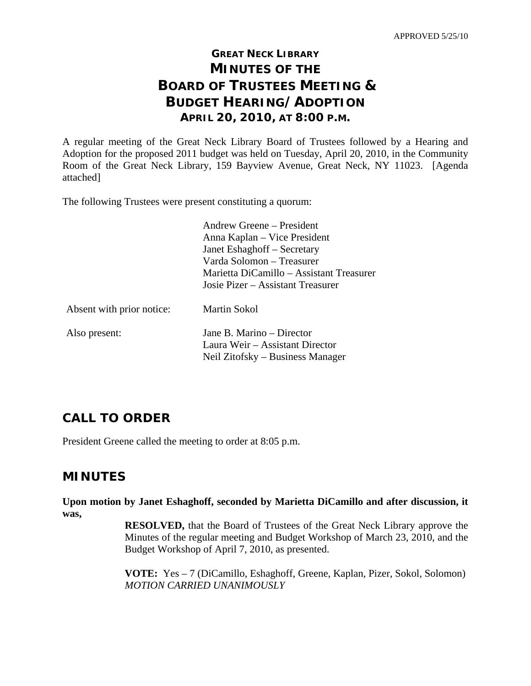# **GREAT NECK LIBRARY MINUTES OF THE BOARD OF TRUSTEES MEETING & BUDGET HEARING/ADOPTION APRIL 20, 2010, AT 8:00 P.M.**

A regular meeting of the Great Neck Library Board of Trustees followed by a Hearing and Adoption for the proposed 2011 budget was held on Tuesday, April 20, 2010, in the Community Room of the Great Neck Library, 159 Bayview Avenue, Great Neck, NY 11023. [Agenda attached]

The following Trustees were present constituting a quorum:

|                           | Andrew Greene – President                |
|---------------------------|------------------------------------------|
|                           | Anna Kaplan – Vice President             |
|                           | Janet Eshaghoff – Secretary              |
|                           | Varda Solomon – Treasurer                |
|                           | Marietta DiCamillo – Assistant Treasurer |
|                           | Josie Pizer – Assistant Treasurer        |
| Absent with prior notice: | <b>Martin Sokol</b>                      |
| Also present:             | Jane B. Marino – Director                |
|                           | Laura Weir – Assistant Director          |
|                           | Neil Zitofsky – Business Manager         |

# **CALL TO ORDER**

President Greene called the meeting to order at 8:05 p.m.

## **MINUTES**

**Upon motion by Janet Eshaghoff, seconded by Marietta DiCamillo and after discussion, it was,** 

> **RESOLVED,** that the Board of Trustees of the Great Neck Library approve the Minutes of the regular meeting and Budget Workshop of March 23, 2010, and the Budget Workshop of April 7, 2010, as presented.

> **VOTE:** Yes – 7 (DiCamillo, Eshaghoff, Greene, Kaplan, Pizer, Sokol, Solomon)  *MOTION CARRIED UNANIMOUSLY*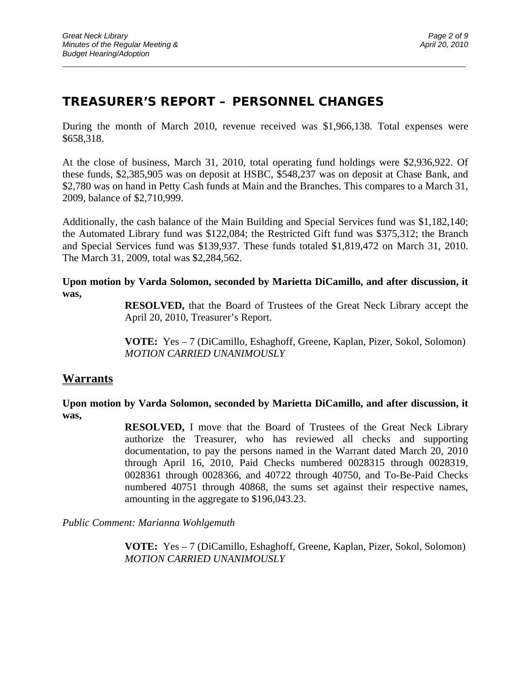## **TREASURER'S REPORT – PERSONNEL CHANGES**

During the month of March 2010, revenue received was \$1,966,138. Total expenses were \$658,318.

 $\overline{a}$  , and the contribution of the contribution of the contribution of the contribution of the contribution of the contribution of the contribution of the contribution of the contribution of the contribution of the co

At the close of business, March 31, 2010, total operating fund holdings were \$2,936,922. Of these funds, \$2,385,905 was on deposit at HSBC, \$548,237 was on deposit at Chase Bank, and \$2,780 was on hand in Petty Cash funds at Main and the Branches. This compares to a March 31, 2009, balance of \$2,710,999.

Additionally, the cash balance of the Main Building and Special Services fund was \$1,182,140; the Automated Library fund was \$122,084; the Restricted Gift fund was \$375,312; the Branch and Special Services fund was \$139,937. These funds totaled \$1,819,472 on March 31, 2010. The March 31, 2009, total was \$2,284,562.

**Upon motion by Varda Solomon, seconded by Marietta DiCamillo, and after discussion, it was,** 

> **RESOLVED,** that the Board of Trustees of the Great Neck Library accept the April 20, 2010, Treasurer's Report.

> **VOTE:** Yes – 7 (DiCamillo, Eshaghoff, Greene, Kaplan, Pizer, Sokol, Solomon)  *MOTION CARRIED UNANIMOUSLY*

### **Warrants**

**Upon motion by Varda Solomon, seconded by Marietta DiCamillo, and after discussion, it was,** 

> **RESOLVED,** I move that the Board of Trustees of the Great Neck Library authorize the Treasurer, who has reviewed all checks and supporting documentation, to pay the persons named in the Warrant dated March 20, 2010 through April 16, 2010, Paid Checks numbered 0028315 through 0028319, 0028361 through 0028366, and 40722 through 40750, and To-Be-Paid Checks numbered 40751 through 40868, the sums set against their respective names, amounting in the aggregate to \$196,043.23.

*Public Comment: Marianna Wohlgemuth* 

**VOTE:** Yes – 7 (DiCamillo, Eshaghoff, Greene, Kaplan, Pizer, Sokol, Solomon) *MOTION CARRIED UNANIMOUSLY*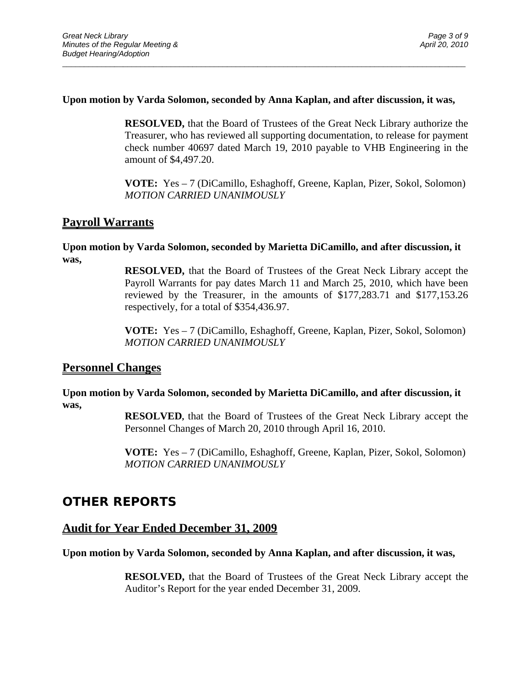#### **Upon motion by Varda Solomon, seconded by Anna Kaplan, and after discussion, it was,**

 $\overline{a}$  , and the contribution of the contribution of the contribution of the contribution of the contribution of the contribution of the contribution of the contribution of the contribution of the contribution of the co

**RESOLVED,** that the Board of Trustees of the Great Neck Library authorize the Treasurer, who has reviewed all supporting documentation, to release for payment check number 40697 dated March 19, 2010 payable to VHB Engineering in the amount of \$4,497.20.

**VOTE:** Yes – 7 (DiCamillo, Eshaghoff, Greene, Kaplan, Pizer, Sokol, Solomon) *MOTION CARRIED UNANIMOUSLY* 

#### **Payroll Warrants**

#### **Upon motion by Varda Solomon, seconded by Marietta DiCamillo, and after discussion, it was,**

**RESOLVED,** that the Board of Trustees of the Great Neck Library accept the Payroll Warrants for pay dates March 11 and March 25, 2010, which have been reviewed by the Treasurer, in the amounts of \$177,283.71 and \$177,153.26 respectively, for a total of \$354,436.97.

**VOTE:** Yes – 7 (DiCamillo, Eshaghoff, Greene, Kaplan, Pizer, Sokol, Solomon) *MOTION CARRIED UNANIMOUSLY* 

#### **Personnel Changes**

**Upon motion by Varda Solomon, seconded by Marietta DiCamillo, and after discussion, it was,** 

> **RESOLVED,** that the Board of Trustees of the Great Neck Library accept the Personnel Changes of March 20, 2010 through April 16, 2010.

> **VOTE:** Yes – 7 (DiCamillo, Eshaghoff, Greene, Kaplan, Pizer, Sokol, Solomon) *MOTION CARRIED UNANIMOUSLY*

## **OTHER REPORTS**

#### **Audit for Year Ended December 31, 2009**

#### **Upon motion by Varda Solomon, seconded by Anna Kaplan, and after discussion, it was,**

**RESOLVED,** that the Board of Trustees of the Great Neck Library accept the Auditor's Report for the year ended December 31, 2009.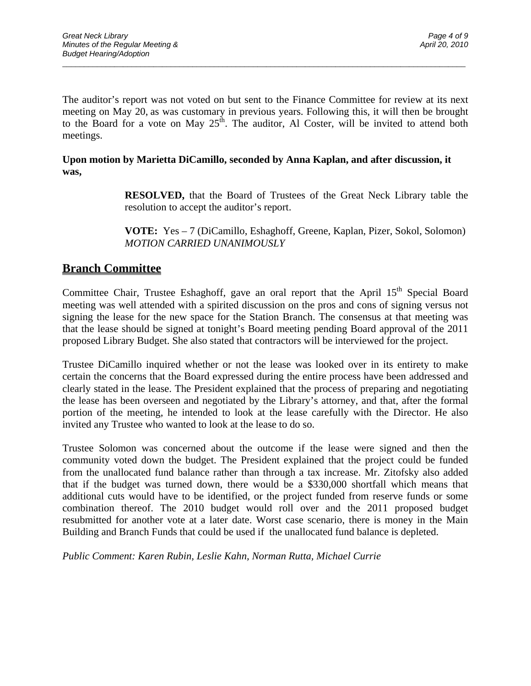The auditor's report was not voted on but sent to the Finance Committee for review at its next meeting on May 20, as was customary in previous years. Following this, it will then be brought to the Board for a vote on May  $25^{\text{th}}$ . The auditor, Al Coster, will be invited to attend both meetings.

 $\overline{a}$  , and the contribution of the contribution of the contribution of the contribution of the contribution of the contribution of the contribution of the contribution of the contribution of the contribution of the co

#### **Upon motion by Marietta DiCamillo, seconded by Anna Kaplan, and after discussion, it was,**

**RESOLVED,** that the Board of Trustees of the Great Neck Library table the resolution to accept the auditor's report.

**VOTE:** Yes – 7 (DiCamillo, Eshaghoff, Greene, Kaplan, Pizer, Sokol, Solomon) *MOTION CARRIED UNANIMOUSLY* 

## **Branch Committee**

Committee Chair, Trustee Eshaghoff, gave an oral report that the April 15<sup>th</sup> Special Board meeting was well attended with a spirited discussion on the pros and cons of signing versus not signing the lease for the new space for the Station Branch. The consensus at that meeting was that the lease should be signed at tonight's Board meeting pending Board approval of the 2011 proposed Library Budget. She also stated that contractors will be interviewed for the project.

Trustee DiCamillo inquired whether or not the lease was looked over in its entirety to make certain the concerns that the Board expressed during the entire process have been addressed and clearly stated in the lease. The President explained that the process of preparing and negotiating the lease has been overseen and negotiated by the Library's attorney, and that, after the formal portion of the meeting, he intended to look at the lease carefully with the Director. He also invited any Trustee who wanted to look at the lease to do so.

Trustee Solomon was concerned about the outcome if the lease were signed and then the community voted down the budget. The President explained that the project could be funded from the unallocated fund balance rather than through a tax increase. Mr. Zitofsky also added that if the budget was turned down, there would be a \$330,000 shortfall which means that additional cuts would have to be identified, or the project funded from reserve funds or some combination thereof. The 2010 budget would roll over and the 2011 proposed budget resubmitted for another vote at a later date. Worst case scenario, there is money in the Main Building and Branch Funds that could be used if the unallocated fund balance is depleted.

*Public Comment: Karen Rubin, Leslie Kahn, Norman Rutta, Michael Currie*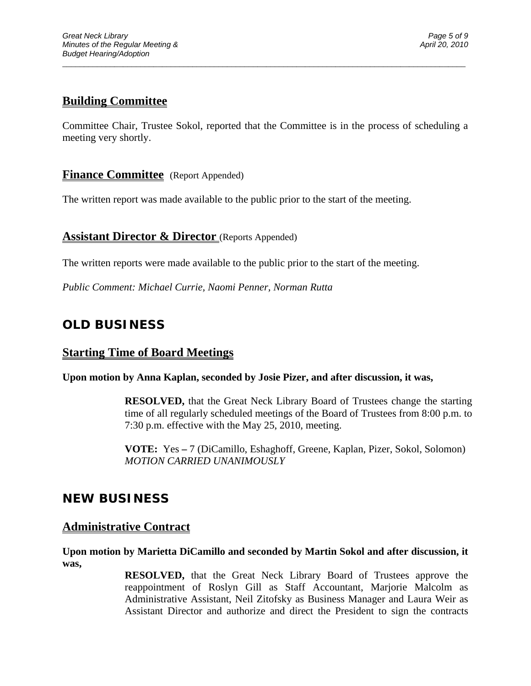## **Building Committee**

Committee Chair, Trustee Sokol, reported that the Committee is in the process of scheduling a meeting very shortly.

 $\overline{a}$  , and the contribution of the contribution of the contribution of the contribution of the contribution of the contribution of the contribution of the contribution of the contribution of the contribution of the co

### **Finance Committee** (Report Appended)

The written report was made available to the public prior to the start of the meeting.

### **Assistant Director & Director** (Reports Appended)

The written reports were made available to the public prior to the start of the meeting.

*Public Comment: Michael Currie, Naomi Penner, Norman Rutta* 

## **OLD BUSINESS**

### **Starting Time of Board Meetings**

**Upon motion by Anna Kaplan, seconded by Josie Pizer, and after discussion, it was,** 

**RESOLVED,** that the Great Neck Library Board of Trustees change the starting time of all regularly scheduled meetings of the Board of Trustees from 8:00 p.m. to 7:30 p.m. effective with the May 25, 2010, meeting.

 **VOTE:** Yes **–** 7 (DiCamillo, Eshaghoff, Greene, Kaplan, Pizer, Sokol, Solomon)  *MOTION CARRIED UNANIMOUSLY* 

## **NEW BUSINESS**

### **Administrative Contract**

**Upon motion by Marietta DiCamillo and seconded by Martin Sokol and after discussion, it was,** 

> **RESOLVED,** that the Great Neck Library Board of Trustees approve the reappointment of Roslyn Gill as Staff Accountant, Marjorie Malcolm as Administrative Assistant, Neil Zitofsky as Business Manager and Laura Weir as Assistant Director and authorize and direct the President to sign the contracts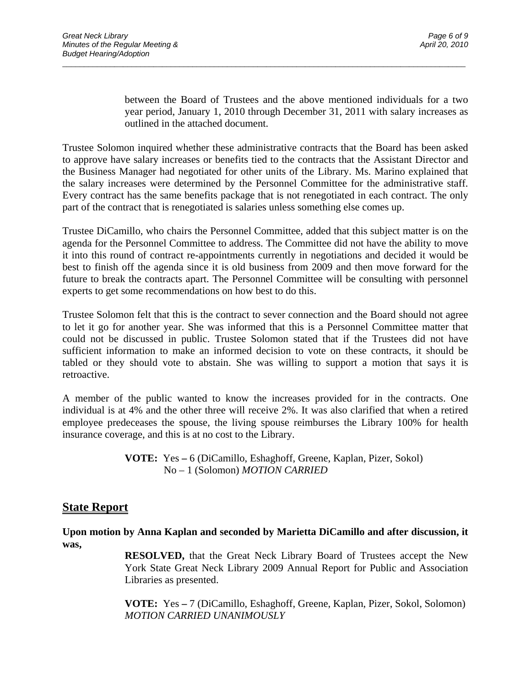between the Board of Trustees and the above mentioned individuals for a two year period, January 1, 2010 through December 31, 2011 with salary increases as outlined in the attached document.

Trustee Solomon inquired whether these administrative contracts that the Board has been asked to approve have salary increases or benefits tied to the contracts that the Assistant Director and the Business Manager had negotiated for other units of the Library. Ms. Marino explained that the salary increases were determined by the Personnel Committee for the administrative staff. Every contract has the same benefits package that is not renegotiated in each contract. The only part of the contract that is renegotiated is salaries unless something else comes up.

 $\overline{a}$  , and the contribution of the contribution of the contribution of the contribution of the contribution of the contribution of the contribution of the contribution of the contribution of the contribution of the co

Trustee DiCamillo, who chairs the Personnel Committee, added that this subject matter is on the agenda for the Personnel Committee to address. The Committee did not have the ability to move it into this round of contract re-appointments currently in negotiations and decided it would be best to finish off the agenda since it is old business from 2009 and then move forward for the future to break the contracts apart. The Personnel Committee will be consulting with personnel experts to get some recommendations on how best to do this.

Trustee Solomon felt that this is the contract to sever connection and the Board should not agree to let it go for another year. She was informed that this is a Personnel Committee matter that could not be discussed in public. Trustee Solomon stated that if the Trustees did not have sufficient information to make an informed decision to vote on these contracts, it should be tabled or they should vote to abstain. She was willing to support a motion that says it is retroactive.

A member of the public wanted to know the increases provided for in the contracts. One individual is at 4% and the other three will receive 2%. It was also clarified that when a retired employee predeceases the spouse, the living spouse reimburses the Library 100% for health insurance coverage, and this is at no cost to the Library.

> **VOTE:** Yes **–** 6 (DiCamillo, Eshaghoff, Greene, Kaplan, Pizer, Sokol) No – 1 (Solomon) *MOTION CARRIED*

### **State Report**

**Upon motion by Anna Kaplan and seconded by Marietta DiCamillo and after discussion, it was,** 

> **RESOLVED,** that the Great Neck Library Board of Trustees accept the New York State Great Neck Library 2009 Annual Report for Public and Association Libraries as presented.

> **VOTE:** Yes **–** 7 (DiCamillo, Eshaghoff, Greene, Kaplan, Pizer, Sokol, Solomon)  *MOTION CARRIED UNANIMOUSLY*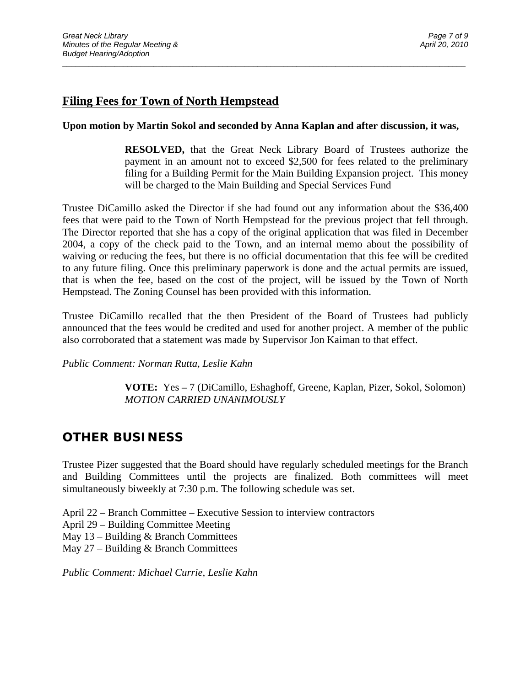## **Filing Fees for Town of North Hempstead**

#### **Upon motion by Martin Sokol and seconded by Anna Kaplan and after discussion, it was,**

 $\overline{a}$  , and the contribution of the contribution of the contribution of the contribution of the contribution of the contribution of the contribution of the contribution of the contribution of the contribution of the co

**RESOLVED,** that the Great Neck Library Board of Trustees authorize the payment in an amount not to exceed \$2,500 for fees related to the preliminary filing for a Building Permit for the Main Building Expansion project. This money will be charged to the Main Building and Special Services Fund

Trustee DiCamillo asked the Director if she had found out any information about the \$36,400 fees that were paid to the Town of North Hempstead for the previous project that fell through. The Director reported that she has a copy of the original application that was filed in December 2004, a copy of the check paid to the Town, and an internal memo about the possibility of waiving or reducing the fees, but there is no official documentation that this fee will be credited to any future filing. Once this preliminary paperwork is done and the actual permits are issued, that is when the fee, based on the cost of the project, will be issued by the Town of North Hempstead. The Zoning Counsel has been provided with this information.

Trustee DiCamillo recalled that the then President of the Board of Trustees had publicly announced that the fees would be credited and used for another project. A member of the public also corroborated that a statement was made by Supervisor Jon Kaiman to that effect.

*Public Comment: Norman Rutta, Leslie Kahn* 

 **VOTE:** Yes **–** 7 (DiCamillo, Eshaghoff, Greene, Kaplan, Pizer, Sokol, Solomon)  *MOTION CARRIED UNANIMOUSLY* 

# **OTHER BUSINESS**

Trustee Pizer suggested that the Board should have regularly scheduled meetings for the Branch and Building Committees until the projects are finalized. Both committees will meet simultaneously biweekly at 7:30 p.m. The following schedule was set.

- April 22 Branch Committee Executive Session to interview contractors
- April 29 Building Committee Meeting
- May  $13$  Building & Branch Committees
- May 27 Building & Branch Committees

*Public Comment: Michael Currie, Leslie Kahn*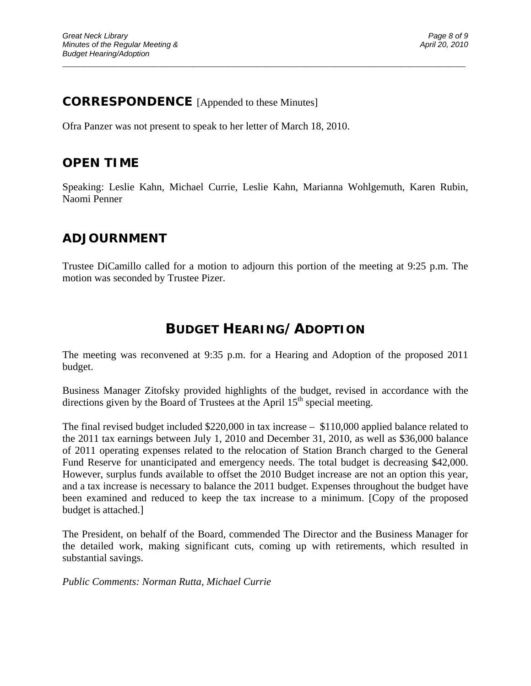## **CORRESPONDENCE** [Appended to these Minutes]

Ofra Panzer was not present to speak to her letter of March 18, 2010.

## **OPEN TIME**

Speaking: Leslie Kahn, Michael Currie, Leslie Kahn, Marianna Wohlgemuth, Karen Rubin, Naomi Penner

 $\overline{a}$  , and the contribution of the contribution of the contribution of the contribution of the contribution of the contribution of the contribution of the contribution of the contribution of the contribution of the co

## **ADJOURNMENT**

Trustee DiCamillo called for a motion to adjourn this portion of the meeting at 9:25 p.m. The motion was seconded by Trustee Pizer.

# **BUDGET HEARING/ADOPTION**

The meeting was reconvened at 9:35 p.m. for a Hearing and Adoption of the proposed 2011 budget.

Business Manager Zitofsky provided highlights of the budget, revised in accordance with the directions given by the Board of Trustees at the April  $15<sup>th</sup>$  special meeting.

The final revised budget included \$220,000 in tax increase – \$110,000 applied balance related to the 2011 tax earnings between July 1, 2010 and December 31, 2010, as well as \$36,000 balance of 2011 operating expenses related to the relocation of Station Branch charged to the General Fund Reserve for unanticipated and emergency needs. The total budget is decreasing \$42,000. However, surplus funds available to offset the 2010 Budget increase are not an option this year, and a tax increase is necessary to balance the 2011 budget. Expenses throughout the budget have been examined and reduced to keep the tax increase to a minimum. [Copy of the proposed budget is attached.]

The President, on behalf of the Board, commended The Director and the Business Manager for the detailed work, making significant cuts, coming up with retirements, which resulted in substantial savings.

*Public Comments: Norman Rutta, Michael Currie*